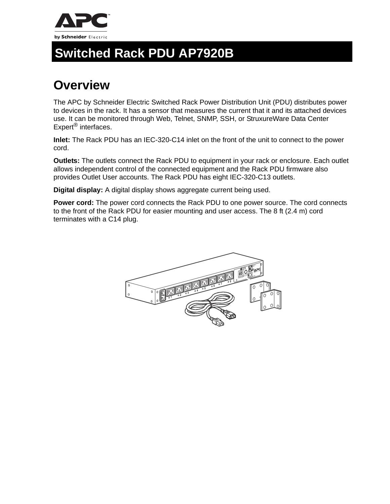

## **Switched Rack PDU AP7920B**

## **Overview**

The APC by Schneider Electric Switched Rack Power Distribution Unit (PDU) distributes power to devices in the rack. It has a sensor that measures the current that it and its attached devices use. It can be monitored through Web, Telnet, SNMP, SSH, or StruxureWare Data Center Expert<sup>®</sup> interfaces.

**Inlet:** The Rack PDU has an IEC-320-C14 inlet on the front of the unit to connect to the power cord.

**Outlets:** The outlets connect the Rack PDU to equipment in your rack or enclosure. Each outlet allows independent control of the connected equipment and the Rack PDU firmware also provides Outlet User accounts. The Rack PDU has eight IEC-320-C13 outlets.

**Digital display:** A digital display shows aggregate current being used.

**Power cord:** The power cord connects the Rack PDU to one power source. The cord connects to the front of the Rack PDU for easier mounting and user access. The 8 ft (2.4 m) cord terminates with a C14 plug.